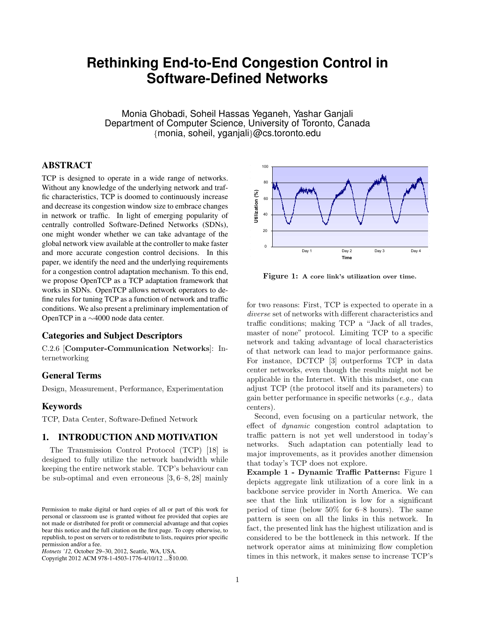# **Rethinking End-to-End Congestion Control in Software-Defined Networks**

Monia Ghobadi, Soheil Hassas Yeganeh, Yashar Ganjali Department of Computer Science, University of Toronto, Canada {monia, soheil, yganjali}@cs.toronto.edu

# ABSTRACT

TCP is designed to operate in a wide range of networks. Without any knowledge of the underlying network and traffic characteristics, TCP is doomed to continuously increase and decrease its congestion window size to embrace changes in network or traffic. In light of emerging popularity of centrally controlled Software-Defined Networks (SDNs), one might wonder whether we can take advantage of the global network view available at the controller to make faster and more accurate congestion control decisions. In this paper, we identify the need and the underlying requirements for a congestion control adaptation mechanism. To this end, we propose OpenTCP as a TCP adaptation framework that works in SDNs. OpenTCP allows network operators to define rules for tuning TCP as a function of network and traffic conditions. We also present a preliminary implementation of OpenTCP in a ∼4000 node data center.

# Categories and Subject Descriptors

C.2.6 [Computer-Communication Networks]: Internetworking

#### General Terms

Design, Measurement, Performance, Experimentation

## Keywords

TCP, Data Center, Software-Defined Network

# 1. INTRODUCTION AND MOTIVATION

The Transmission Control Protocol (TCP) [18] is designed to fully utilize the network bandwidth while keeping the entire network stable. TCP's behaviour can be sub-optimal and even erroneous [3, 6–8, 28] mainly



Figure 1: A core link's utilization over time.

for two reasons: First, TCP is expected to operate in a diverse set of networks with different characteristics and traffic conditions; making TCP a "Jack of all trades, master of none" protocol. Limiting TCP to a specific network and taking advantage of local characteristics of that network can lead to major performance gains. For instance, DCTCP [3] outperforms TCP in data center networks, even though the results might not be applicable in the Internet. With this mindset, one can adjust TCP (the protocol itself and its parameters) to gain better performance in specific networks (e.g., data centers).

Second, even focusing on a particular network, the effect of dynamic congestion control adaptation to traffic pattern is not yet well understood in today's networks. Such adaptation can potentially lead to major improvements, as it provides another dimension that today's TCP does not explore.

Example 1 - Dynamic Traffic Patterns: Figure 1 depicts aggregate link utilization of a core link in a backbone service provider in North America. We can see that the link utilization is low for a significant period of time (below 50% for 6–8 hours). The same pattern is seen on all the links in this network. In fact, the presented link has the highest utilization and is considered to be the bottleneck in this network. If the network operator aims at minimizing flow completion times in this network, it makes sense to increase TCP's

Permission to make digital or hard copies of all or part of this work for personal or classroom use is granted without fee provided that copies are not made or distributed for profit or commercial advantage and that copies bear this notice and the full citation on the first page. To copy otherwise, to republish, to post on servers or to redistribute to lists, requires prior specific permission and/or a fee.

*Hotnets '12,* October 29–30, 2012, Seattle, WA, USA.

Copyright 2012 ACM 978-1-4503-1776-4/10/12 ...\$10.00.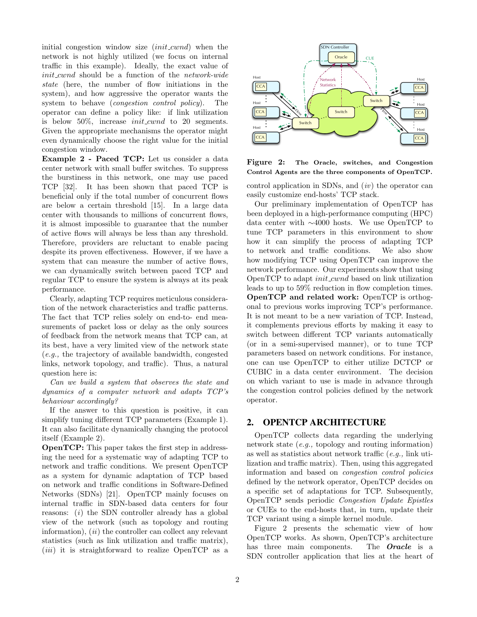initial congestion window size  $(int\_cwnd)$  when the network is not highly utilized (we focus on internal traffic in this example). Ideally, the exact value of init\_cwnd should be a function of the network-wide state (here, the number of flow initiations in the system), and how aggressive the operator wants the system to behave (*congestion control policy*). The operator can define a policy like: if link utilization is below 50%, increase *init\_cwnd* to 20 segments. Given the appropriate mechanisms the operator might even dynamically choose the right value for the initial congestion window.

Example 2 - Paced TCP: Let us consider a data center network with small buffer switches. To suppress the burstiness in this network, one may use paced TCP [32]. It has been shown that paced TCP is beneficial only if the total number of concurrent flows are below a certain threshold [15]. In a large data center with thousands to millions of concurrent flows, it is almost impossible to guarantee that the number of active flows will always be less than any threshold. Therefore, providers are reluctant to enable pacing despite its proven effectiveness. However, if we have a system that can measure the number of active flows, we can dynamically switch between paced TCP and regular TCP to ensure the system is always at its peak performance.

Clearly, adapting TCP requires meticulous consideration of the network characteristics and traffic patterns. The fact that TCP relies solely on end-to- end measurements of packet loss or delay as the only sources of feedback from the network means that TCP can, at its best, have a very limited view of the network state (e.g., the trajectory of available bandwidth, congested links, network topology, and traffic). Thus, a natural question here is:

Can we build a system that observes the state and dynamics of a computer network and adapts TCP's behaviour accordingly?

If the answer to this question is positive, it can simplify tuning different TCP parameters (Example 1). It can also facilitate dynamically changing the protocol itself (Example 2).

OpenTCP: This paper takes the first step in addressing the need for a systematic way of adapting TCP to network and traffic conditions. We present OpenTCP as a system for dynamic adaptation of TCP based on network and traffic conditions in Software-Defined Networks (SDNs) [21]. OpenTCP mainly focuses on internal traffic in SDN-based data centers for four reasons: (i) the SDN controller already has a global view of the network (such as topology and routing information),  $(ii)$  the controller can collect any relevant statistics (such as link utilization and traffic matrix),  $(iii)$  it is straightforward to realize OpenTCP as a



Figure 2: The Oracle, switches, and Congestion Control Agents are the three components of OpenTCP.

control application in SDNs, and  $(iv)$  the operator can easily customize end-hosts' TCP stack.

Our preliminary implementation of OpenTCP has been deployed in a high-performance computing (HPC) data center with ∼4000 hosts. We use OpenTCP to tune TCP parameters in this environment to show how it can simplify the process of adapting TCP to network and traffic conditions. We also show how modifying TCP using OpenTCP can improve the network performance. Our experiments show that using OpenTCP to adapt init cwnd based on link utilization leads to up to 59% reduction in flow completion times. OpenTCP and related work: OpenTCP is orthogonal to previous works improving TCP's performance. It is not meant to be a new variation of TCP. Instead, it complements previous efforts by making it easy to switch between different TCP variants automatically (or in a semi-supervised manner), or to tune TCP parameters based on network conditions. For instance, one can use OpenTCP to either utilize DCTCP or CUBIC in a data center environment. The decision on which variant to use is made in advance through the congestion control policies defined by the network operator.

# 2. OPENTCP ARCHITECTURE

OpenTCP collects data regarding the underlying network state (e.g., topology and routing information) as well as statistics about network traffic (e.g., link utilization and traffic matrix). Then, using this aggregated information and based on congestion control policies defined by the network operator, OpenTCP decides on a specific set of adaptations for TCP. Subsequently, OpenTCP sends periodic Congestion Update Epistles or CUEs to the end-hosts that, in turn, update their TCP variant using a simple kernel module.

Figure 2 presents the schematic view of how OpenTCP works. As shown, OpenTCP's architecture has three main components. The **Oracle** is a SDN controller application that lies at the heart of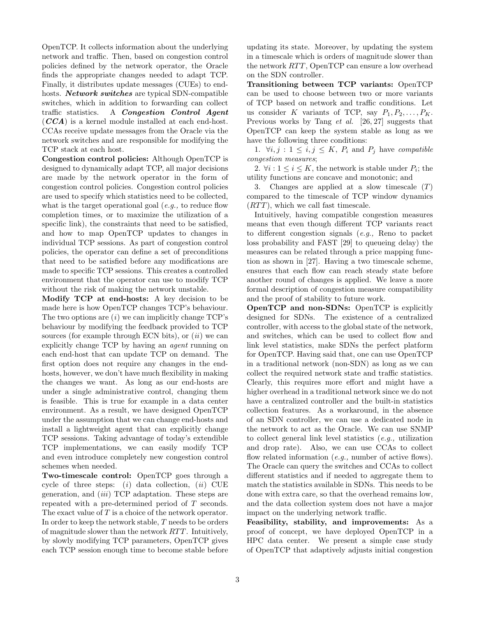OpenTCP. It collects information about the underlying network and traffic. Then, based on congestion control policies defined by the network operator, the Oracle finds the appropriate changes needed to adapt TCP. Finally, it distributes update messages (CUEs) to endhosts. Network switches are typical SDN-compatible switches, which in addition to forwarding can collect traffic statistics. A Congestion Control Agent  $(CCA)$  is a kernel module installed at each end-host. CCAs receive update messages from the Oracle via the network switches and are responsible for modifying the TCP stack at each host.

Congestion control policies: Although OpenTCP is designed to dynamically adapt TCP, all major decisions are made by the network operator in the form of congestion control policies. Congestion control policies are used to specify which statistics need to be collected, what is the target operational goal  $(e.g., to reduce flow)$ completion times, or to maximize the utilization of a specific link), the constraints that need to be satisfied, and how to map OpenTCP updates to changes in individual TCP sessions. As part of congestion control policies, the operator can define a set of preconditions that need to be satisfied before any modifications are made to specific TCP sessions. This creates a controlled environment that the operator can use to modify TCP without the risk of making the network unstable.

Modify TCP at end-hosts: A key decision to be made here is how OpenTCP changes TCP's behaviour. The two options are  $(i)$  we can implicitly change TCP's behaviour by modifying the feedback provided to TCP sources (for example through ECN bits), or  $(ii)$  we can explicitly change TCP by having an agent running on each end-host that can update TCP on demand. The first option does not require any changes in the endhosts, however, we don't have much flexibility in making the changes we want. As long as our end-hosts are under a single administrative control, changing them is feasible. This is true for example in a data center environment. As a result, we have designed OpenTCP under the assumption that we can change end-hosts and install a lightweight agent that can explicitly change TCP sessions. Taking advantage of today's extendible TCP implementations, we can easily modify TCP and even introduce completely new congestion control schemes when needed.

Two-timescale control: OpenTCP goes through a cycle of three steps:  $(i)$  data collection,  $(ii)$  CUE generation, and (iii) TCP adaptation. These steps are repeated with a pre-determined period of T seconds. The exact value of T is a choice of the network operator. In order to keep the network stable, T needs to be orders of magnitude slower than the network  $RTT$ . Intuitively, by slowly modifying TCP parameters, OpenTCP gives each TCP session enough time to become stable before updating its state. Moreover, by updating the system in a timescale which is orders of magnitude slower than the network  $RTT$ , OpenTCP can ensure a low overhead on the SDN controller.

Transitioning between TCP variants: OpenTCP can be used to choose between two or more variants of TCP based on network and traffic conditions. Let us consider K variants of TCP, say  $P_1, P_2, \ldots, P_K$ . Previous works by Tang et al. [26, 27] suggests that OpenTCP can keep the system stable as long as we have the following three conditions:

1.  $\forall i, j : 1 \leq i, j \leq K$ ,  $P_i$  and  $P_j$  have *compatible* congestion measures;

2.  $\forall i: 1 \leq i \leq K$ , the network is stable under  $P_i$ ; the utility functions are concave and monotonic; and

3. Changes are applied at a slow timescale  $(T)$ compared to the timescale of TCP window dynamics  $(RTT)$ , which we call fast timescale.

Intuitively, having compatible congestion measures means that even though different TCP variants react to different congestion signals (e.g., Reno to packet loss probability and FAST [29] to queueing delay) the measures can be related through a price mapping function as shown in [27]. Having a two timescale scheme, ensures that each flow can reach steady state before another round of changes is applied. We leave a more formal description of congestion measure compatibility and the proof of stability to future work.

OpenTCP and non-SDNs: OpenTCP is explicitly designed for SDNs. The existence of a centralized controller, with access to the global state of the network, and switches, which can be used to collect flow and link level statistics, make SDNs the perfect platform for OpenTCP. Having said that, one can use OpenTCP in a traditional network (non-SDN) as long as we can collect the required network state and traffic statistics. Clearly, this requires more effort and might have a higher overhead in a traditional network since we do not have a centralized controller and the built-in statistics collection features. As a workaround, in the absence of an SDN controller, we can use a dedicated node in the network to act as the Oracle. We can use SNMP to collect general link level statistics (e.g., utilization and drop rate). Also, we can use CCAs to collect flow related information  $(e.g.,$  number of active flows). The Oracle can query the switches and CCAs to collect different statistics and if needed to aggregate them to match the statistics available in SDNs. This needs to be done with extra care, so that the overhead remains low, and the data collection system does not have a major impact on the underlying network traffic.

Feasibility, stability, and improvements: As a proof of concept, we have deployed OpenTCP in a HPC data center. We present a simple case study of OpenTCP that adaptively adjusts initial congestion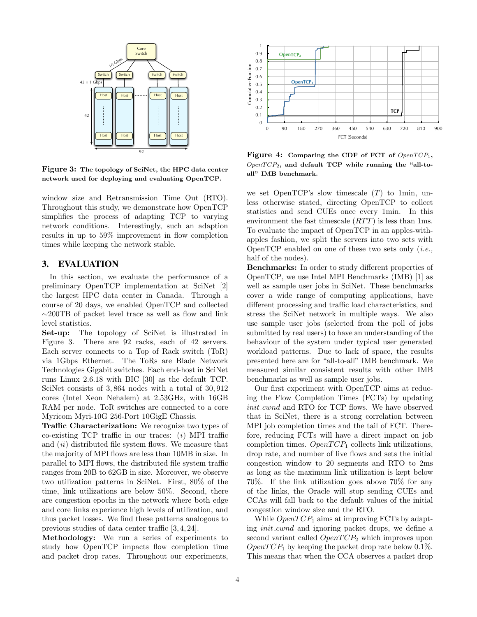

Figure 3: The topology of SciNet, the HPC data center network used for deploying and evaluating OpenTCP.

window size and Retransmission Time Out (RTO). Throughout this study, we demonstrate how OpenTCP simplifies the process of adapting TCP to varying network conditions. Interestingly, such an adaption results in up to 59% improvement in flow completion times while keeping the network stable.

# 3. EVALUATION

In this section, we evaluate the performance of a preliminary OpenTCP implementation at SciNet [2] the largest HPC data center in Canada. Through a course of 20 days, we enabled OpenTCP and collected  $\sim$ 200TB of packet level trace as well as flow and link level statistics.

Set-up: The topology of SciNet is illustrated in Figure 3. There are 92 racks, each of 42 servers. Each server connects to a Top of Rack switch (ToR) via 1Gbps Ethernet. The ToRs are Blade Network Technologies Gigabit switches. Each end-host in SciNet runs Linux 2.6.18 with BIC [30] as the default TCP. SciNet consists of  $3,864$  nodes with a total of  $30,912$ cores (Intel Xeon Nehalem) at 2.53GHz, with 16GB RAM per node. ToR switches are connected to a core Myricom Myri-10G 256-Port 10GigE Chassis.

Traffic Characterization: We recognize two types of co-existing TCP traffic in our traces:  $(i)$  MPI traffic and  $(ii)$  distributed file system flows. We measure that the majority of MPI flows are less than 10MB in size. In parallel to MPI flows, the distributed file system traffic ranges from 20B to 62GB in size. Moreover, we observe two utilization patterns in SciNet. First, 80% of the time, link utilizations are below 50%. Second, there are congestion epochs in the network where both edge and core links experience high levels of utilization, and thus packet losses. We find these patterns analogous to previous studies of data center traffic  $[3, 4, 24]$ .

Methodology: We run a series of experiments to study how OpenTCP impacts flow completion time and packet drop rates. Throughout our experiments,



Figure 4: Comparing the CDF of FCT of  $OpenTCP_1$ ,  $OpenTCP_2$ , and default TCP while running the "all-toall" IMB benchmark.

we set OpenTCP's slow timescale  $(T)$  to 1min, unless otherwise stated, directing OpenTCP to collect statistics and send CUEs once every 1min. In this environment the fast timescale  $(RTT)$  is less than 1ms. To evaluate the impact of OpenTCP in an apples-withapples fashion, we split the servers into two sets with OpenTCP enabled on one of these two sets only  $(i.e.,$ half of the nodes).

Benchmarks: In order to study different properties of OpenTCP, we use Intel MPI Benchmarks (IMB) [1] as well as sample user jobs in SciNet. These benchmarks cover a wide range of computing applications, have different processing and traffic load characteristics, and stress the SciNet network in multiple ways. We also use sample user jobs (selected from the poll of jobs submitted by real users) to have an understanding of the behaviour of the system under typical user generated workload patterns. Due to lack of space, the results presented here are for "all-to-all" IMB benchmark. We measured similar consistent results with other IMB benchmarks as well as sample user jobs.

Our first experiment with OpenTCP aims at reducing the Flow Completion Times (FCTs) by updating init\_cwnd and RTO for TCP flows. We have observed that in SciNet, there is a strong correlation between MPI job completion times and the tail of FCT. Therefore, reducing FCTs will have a direct impact on job completion times.  $OpenTCP_1$  collects link utilizations, drop rate, and number of live flows and sets the initial congestion window to 20 segments and RTO to 2ms as long as the maximum link utilization is kept below 70%. If the link utilization goes above 70% for any of the links, the Oracle will stop sending CUEs and CCAs will fall back to the default values of the initial congestion window size and the RTO.

While  $OpenTCP_1$  aims at improving FCTs by adapting init cwnd and ignoring packet drops, we define a second variant called  $OpenTCP_2$  which improves upon  $OpenTCP_1$  by keeping the packet drop rate below 0.1%. This means that when the CCA observes a packet drop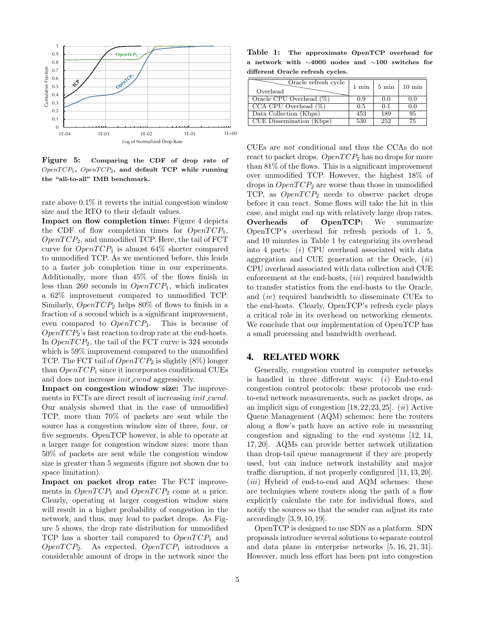

Figure 5: Comparing the CDF of drop rate of  $OpenTCP_1, OpenTCP_2, and default TCP while running$ the "all-to-all" IMB benchmark.

rate above 0.1% it reverts the initial congestion window size and the RTO to their default values.

Impact on flow completion time: Figure 4 depicts the CDF of flow completion times for  $OpenTCP_1$ ,  $OpenTCP_2$ , and unmodified TCP. Here, the tail of FCT curve for  $OpenTCP_1$  is almost 64% shorter compared to unmodified TCP. As we mentioned before, this leads to a faster job completion time in our experiments. Additionally, more than 45% of the flows finish in less than 260 seconds in  $OpenTCP_1$ , which indicates a 62% improvement compared to unmodified TCP. Similarly,  $OpenTCP_2$  helps 80% of flows to finish in a fraction of a second which is a significant improvement, even compared to  $OpenTCP_1$ . This is because of  $OpenTCP_2$ 's fast reaction to drop rate at the end-hosts. In  $OpenTCP_2$ , the tail of the FCT curve is 324 seconds which is 59% improvement compared to the unmodified TCP. The FCT tail of  $OpenTCP_2$  is slightly (8%) longer than  $OpenTCP_1$  since it incorporates conditional CUEs and does not increase *init\_cwnd* aggressively.

Impact on congestion window size: The improvements in FCTs are direct result of increasing *init\_cwnd*. Our analysis showed that in the case of unmodified TCP, more than 70% of packets are sent while the source has a congestion window size of three, four, or five segments. OpenTCP however, is able to operate at a larger range for congestion window sizes: more than 50% of packets are sent while the congestion window size is greater than 5 segments (figure not shown due to space limitation).

Impact on packet drop rate: The FCT improvements in  $OpenTCP_1$  and  $OpenTCP_2$  come at a price. Clearly, operating at larger congestion window sizes will result in a higher probability of congestion in the network, and thus, may lead to packet drops. As Figure 5 shows, the drop rate distribution for unmodified TCP has a shorter tail compared to  $OpenTCP_1$  and  $Open TCP_2$ . As expected,  $Open TCP_1$  introduces a considerable amount of drops in the network since the

Table 1: The approximate OpenTCP overhead for a network with ∼4000 nodes and ∼100 switches for different Oracle refresh cycles.

| Oracle refresh cycle<br>Overhead | $1$ min | $5 \text{ min}$ | $10 \text{ min}$ |
|----------------------------------|---------|-----------------|------------------|
| Oracle CPU Overhead $(\%)$       | 0.9     | 0.0             | 0.0              |
| CCA CPU Overhead $(\%)$          | 0.5     | 0.1             | 0.0              |
| Data Collection (Kbps)           | 453     | 189             | 95               |
| CUE Dissemination (Kbps)         | 530     | 252             | 75               |

CUEs are not conditional and thus the CCAs do not react to packet drops.  $OpenTCP_2$  has no drops for more than 81% of the flows. This is a significant improvement over unmodified TCP. However, the highest 18% of drops in  $OpenTCP_2$  are worse than those in unmodified TCP, as  $OpenTCP_2$  needs to observe packet drops before it can react. Some flows will take the hit in this case, and might end up with relatively large drop rates. Overheads of OpenTCP: We summarize OpenTCP's overhead for refresh periods of 1, 5, and 10 minutes in Table 1 by categorizing its overhead into 4 parts: (i) CPU overhead associated with data aggregation and CUE generation at the Oracle,  $(ii)$ CPU overhead associated with data collection and CUE enforcement at the end-hosts, *(iii)* required bandwidth to transfer statistics from the end-hosts to the Oracle, and (iv) required bandwidth to disseminate CUEs to the end-hosts. Clearly, OpenTCP's refresh cycle plays a critical role in its overhead on networking elements. We conclude that our implementation of OpenTCP has a small processing and bandwidth overhead.

# 4. RELATED WORK

Generally, congestion control in computer networks is handled in three different ways: (i) End-to-end congestion control protocols: these protocols use endto-end network measurements, such as packet drops, as an implicit sign of congestion  $[18, 22, 23, 25]$ . *(ii)* Active Queue Management (AQM) schemes: here the routers along a flow's path have an active role in measuring congestion and signaling to the end systems [12, 14, 17, 20]. AQMs can provide better network utilization than drop-tail queue management if they are properly used, but can induce network instability and major traffic disruption, if not properly configured [11, 13, 20].  $(iii)$  Hybrid of end-to-end and AQM schemes: these are techniques where routers along the path of a flow explicitly calculate the rate for individual flows, and notify the sources so that the sender can adjust its rate accordingly [3, 9, 10, 19].

OpenTCP is designed to use SDN as a platform. SDN proposals introduce several solutions to separate control and data plane in enterprise networks [5, 16, 21, 31]. However, much less effort has been put into congestion